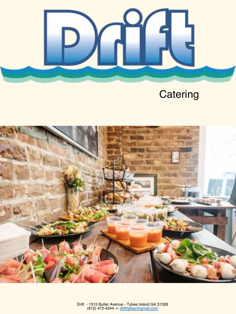

# **Catering**

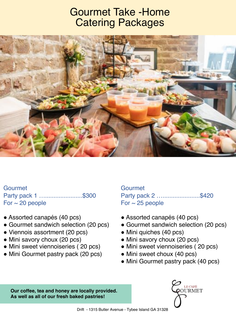#### Gourmet Take -Home Catering Packages



Gourmet Party pack 1 ............................\$300 For  $\sim$  20 people

- Assorted canapés (40 pcs)
- Gourmet sandwich selection (20 pcs)
- Viennois assortment (20 pcs)
- Mini savory choux (20 pcs)
- Mini sweet viennoiseries (20 pcs)
- Mini Gourmet pastry pack (20 pcs)

**Gourmet** Party pack 2 …..........................\$420 For  $\sim$  25 people

- Assorted canapés (40 pcs)
- Gourmet sandwich selection (20 pcs)
- Mini quiches (40 pcs)
- Mini savory choux (20 pcs)
- Mini sweet viennoiseries (20 pcs)
- Mini sweet choux (40 pcs)
- Mini Gourmet pastry pack (40 pcs)

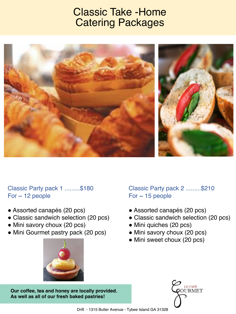### Classic Take -Home Catering Packages



#### Classic Party pack 1 .........\$180 For  $\sim$  12 people

- Assorted canapés (20 pcs)
- Classic sandwich selection (20 pcs)
- Mini savory choux (20 pcs)
- Mini Gourmet pastry pack (20 pcs)



Classic Party pack 2 .........\$210 For  $\sim$  15 people

- Assorted canapés (20 pcs)
- Classic sandwich selection (20 pcs)
- Mini quiches (20 pcs)
- Mini savory choux (20 pcs)
- Mini sweet choux (20 pcs)

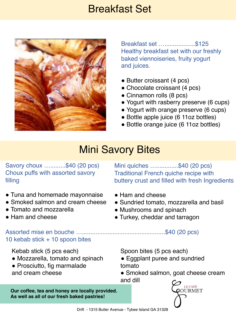#### Breakfast Set



Breakfast set …..................\$125 Healthy breakfast set with our freshly baked viennoiseries, fruity yogurt and juices.

- Butter croissant (4 pcs)
- Chocolate croissant (4 pcs)
- Cinnamon rolls (8 pcs)
- Yogurt with rasberry preserve (6 cups)
- Yogurt with orange preserve (6 cups)
- Bottle apple juice (6 11oz bottles)
- Bottle orange juice (6 11oz bottles)

# **Mini Savory Bites**

Savory choux ….........\$40 (20 pcs) Choux puffs with assorted savory filling

- Tuna and homemade mayonnaise
- Smoked salmon and cream cheese
- Tomato and mozzarella
- Ham and cheese

Mini quiches ...............\$40 (20 pcs) Traditional French quiche recipe with buttery crust and filled with fresh Ingredients

- Ham and cheese
- Sundried tomato, mozzarella and basil
- Mushrooms and spinach
- Turkey, cheddar and tarragon

Assorted mise en bouche ….................................................\$40 (20 pcs) 10 kebab stick + 10 spoon bites

Kebab stick (5 pcs each)

- Mozzarella, tomato and spinach
- Prosciutto, fig marmalade and cream cheese

Spoon bites (5 pcs each)

- Eggplant puree and sundried tomato
- Smoked salmon, goat cheese cream and dill

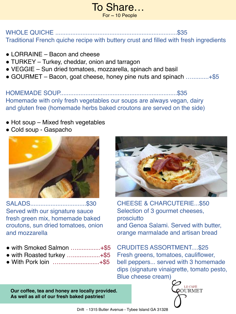#### To Share…  $For ~ 10$  People

#### WHOLE QUICHE ........................................................................\$35 Traditional French quiche recipe with buttery crust and filled with fresh ingredients

- LORRAINE Bacon and cheese
- TURKEY Turkey, cheddar, onion and tarragon
- ! VEGGIE Sun dried tomatoes, mozzarella, spinach and basil
- ! GOURMET Bacon, goat cheese, honey pine nuts and spinach …..........+\$5

HOMEMADE SOUP.....................................................................\$35 Homemade with only fresh vegetables our soups are always vegan, dairy and gluten free (homemade herbs baked croutons are served on the side)

- Hot soup Mixed fresh vegetables
- Cold soup Gaspacho



SALADS.................................\$30 Served with our signature sauce fresh green mix, homemade baked croutons, sun dried tomatoes, onion and mozzarella

- with Smoked Salmon …..............+\$5
- $\bullet$  with Roasted turkey .........................+\$5
- With Pork loin …..........................+\$5



CHEESE & CHARCUTERIE...\$50 Selection of 3 gourmet cheeses, prosciutto and Genoa Salami. Served with butter, orange marmalade and artisan bread

CRUDITES ASSORTMENT....\$25 Fresh greens, tomatoes, cauliflower, bell peppers... served with 3 homemade dips (signature vinaigrette, tomato pesto, Blue cheese cream)

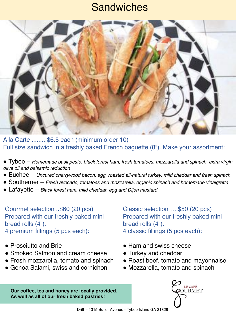### **Sandwiches**



A la Carte .........\$6.5 each (minimum order 10) Full size sandwich in a freshly baked French baguette (8"). Make your assortment:

- ! Tybee *Homemade basil pesto, black forest ham, fresh tomatoes, mozzarella and spinach, extra virgin olive oil and balsamic reduction*
- ! Euchee *Uncured cherrywood bacon, egg, roasted all-natural turkey, mild cheddar and fresh spinach*
- ! Southerner *Fresh avocado, tomatoes and mozzarella, organic spinach and homemade vinaigrette*
- ! Lafayette *Black forest ham, mild cheddar, egg and Dijon mustard*

Gourmet selection ..\$60 (20 pcs) Prepared with our freshly baked mini bread rolls (4"). 4 premium fillings (5 pcs each):

- Prosciutto and Brie
- Smoked Salmon and cream cheese
- **Fresh mozzarella, tomato and spinach**
- Genoa Salami, swiss and cornichon

Classic selection ….\$50 (20 pcs) Prepared with our freshly baked mini bread rolls (4"). 4 classic fillings (5 pcs each):

- Ham and swiss cheese
- Turkey and cheddar
- Roast beef, tomato and mayonnaise
- Mozzarella, tomato and spinach

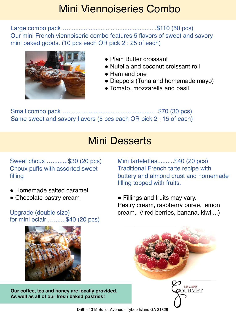### Mini Viennoiseries Combo

Large combo pack ….................................................. .\$110 (50 pcs) Our mini French viennoiserie combo features 5 flavors of sweet and savory mini baked goods. (10 pcs each OR pick 2 : 25 of each)



- Plain Butter croissant
- Nutella and coconut croissant roll
- Ham and brie
- Dieppois (Tuna and homemade mayo)
- Tomato, mozzarella and basil

Small combo pack …................................................... .\$70 (30 pcs) Same sweet and savory flavors (5 pcs each OR pick 2 : 15 of each)

## Mini Desserts

Sweet choux ….........\$30 (20 pcs) Choux puffs with assorted sweet filling

- Homemade salted caramel
- Chocolate pastry cream

Upgrade (double size) for mini eclair ….......\$40 (20 pcs)



**Our coffee, tea and honey are locally provided. As well as all of our fresh baked pastries!**

Mini tartelettes..........\$40 (20 pcs) Traditional French tarte recipe with buttery and almond crust and homemade filling topped with fruits.

• Fillings and fruits may vary. Pastry cream, raspberry puree, lemon cream.. // red berries, banana, kiwi....)



Drift - 1315 Butler Avenue - Tybee Island GA 31328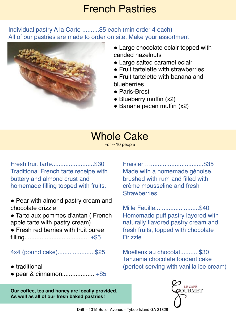#### French Pastries

#### Individual pastry A la Carte ..........\$5 each (min order 4 each) All of our pastries are made to order on site. Make your assortment:



- Large chocolate eclair topped with canded hazelnuts
- Large salted caramel eclair
- Fruit tartelette with strawberries
- **Fruit tartelette with banana and** blueberries
- ! Paris-Brest
- Blueberry muffin (x2)
- $\bullet$  Banana pecan muffin (x2)

# Whole Cake

For  $\sim$  10 people

Fresh fruit tarte.........................\$30 Traditional French tarte receipe with buttery and almond crust and homemade filling topped with fruits.

- Pear with almond pastry cream and chocolate drizzle
- ! Tarte aux pommes d'antan ( French apple tarte with pastry cream)
- Fresh red berries with fruit puree filling. .................................... +\$5

4x4 (pound cake)......................\$25

- $\bullet$  traditional
- $\bullet$  pear & cinnamon........................... +\$5

**Our coffee, tea and honey are locally provided. As well as all of our fresh baked pastries!**

Fraisier …...............................\$35 Made with a homemade génoise, brushed with rum and filled with crème mousseline and fresh **Strawberries** 

Mille Feuille..........................\$40 Homemade puff pastry layered with naturally flavored pastry cream and fresh fruits, topped with chocolate **Drizzle** 

Moelleux au chocolat...........\$30 Tanzania chocolate fondant cake (perfect serving with vanilla ice cream)